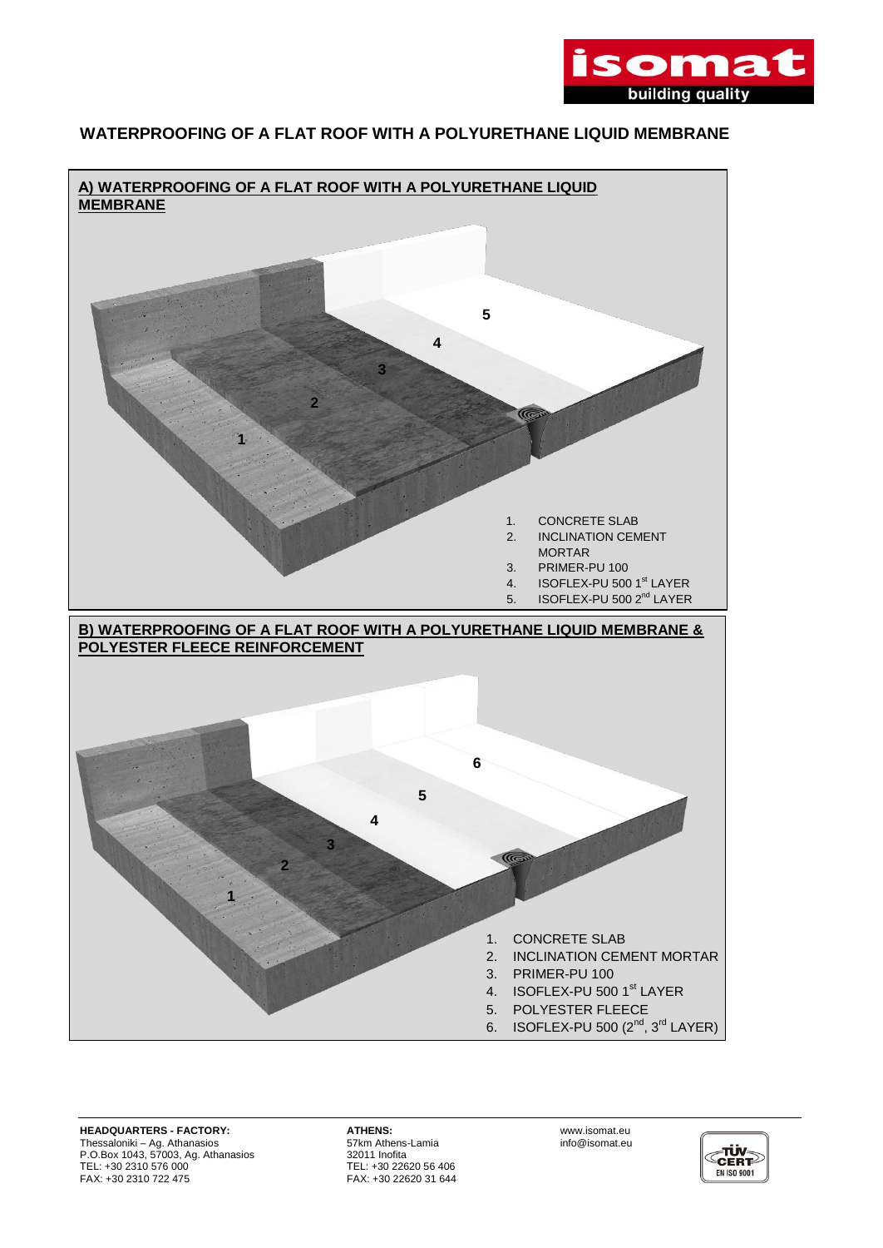

## **WATERPROOFING OF A FLAT ROOF WITH A POLYURETHANE LIQUID MEMBRANE**



**HEADQUARTERS - FACTORY: ATHENS:** www.isomat.eu Thessaloniki – Ag. Athanasios 57km Athens-Lamia info@isomat.eu P.O.Box 1043, 57003, Ag. Athanasios 32011 Inofita ΤEL: +30 2310 576 000 ΤEL: +30 22620 56 406 FAX: +30 2310 722 475 FAX: +30 22620 31 644

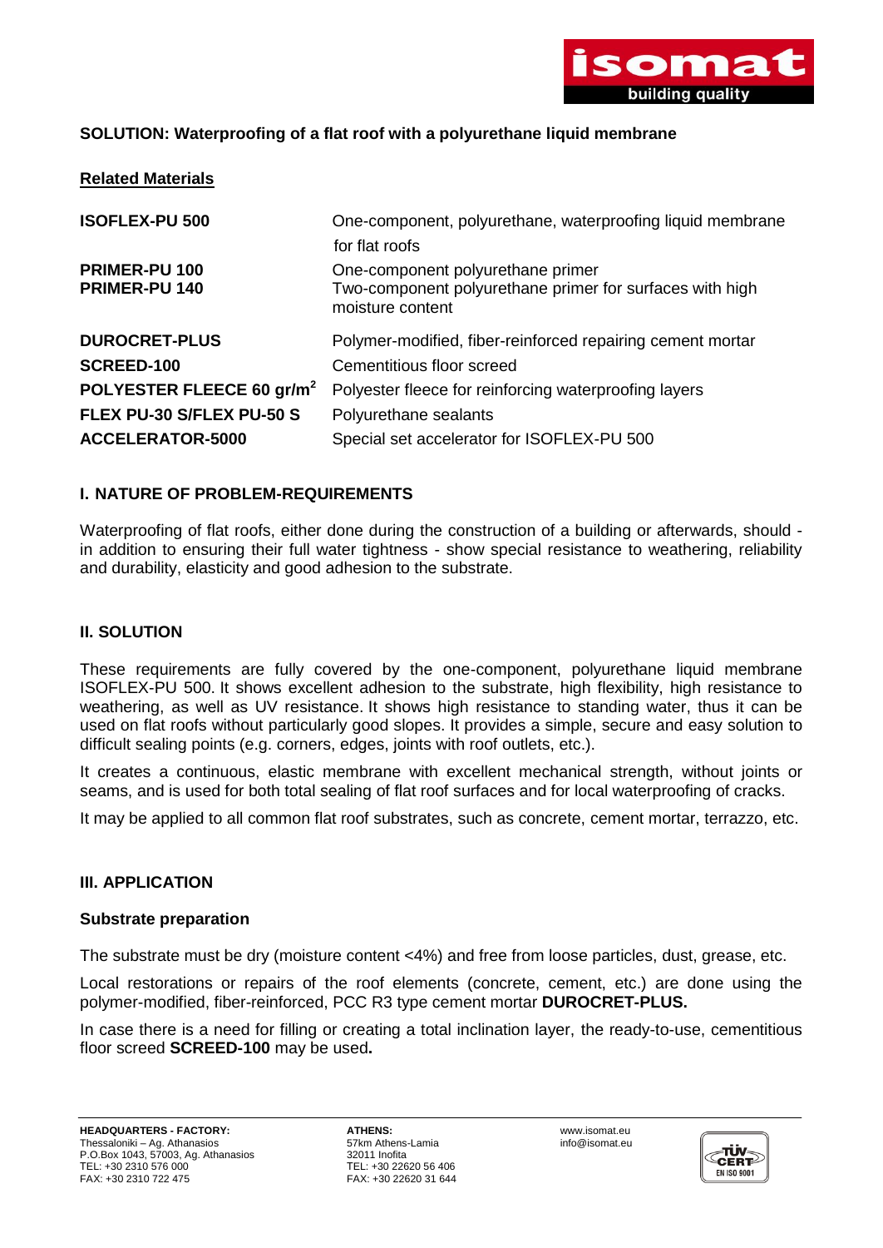

# **SOLUTION: Waterproofing of a flat roof with a polyurethane liquid membrane**

| <b>Related Materials</b>              |                                                                                                                   |
|---------------------------------------|-------------------------------------------------------------------------------------------------------------------|
| <b>ISOFLEX-PU 500</b>                 | One-component, polyurethane, waterproofing liquid membrane                                                        |
|                                       | for flat roofs                                                                                                    |
| PRIMER-PU 100<br><b>PRIMER-PU 140</b> | One-component polyurethane primer<br>Two-component polyurethane primer for surfaces with high<br>moisture content |
| <b>DUROCRET-PLUS</b>                  | Polymer-modified, fiber-reinforced repairing cement mortar                                                        |
| <b>SCREED-100</b>                     | Cementitious floor screed                                                                                         |
| POLYESTER FLEECE 60 gr/m <sup>2</sup> | Polyester fleece for reinforcing waterproofing layers                                                             |
| FLEX PU-30 S/FLEX PU-50 S             | Polyurethane sealants                                                                                             |
| <b>ACCELERATOR-5000</b>               | Special set accelerator for ISOFLEX-PU 500                                                                        |

## **I. NATURE OF PROBLEM-REQUIREMENTS**

Waterproofing of flat roofs, either done during the construction of a building or afterwards, should in addition to ensuring their full water tightness - show special resistance to weathering, reliability and durability, elasticity and good adhesion to the substrate.

### **II. SOLUTION**

These requirements are fully covered by the one-component, polyurethane liquid membrane ISOFLEX-PU 500. It shows excellent adhesion to the substrate, high flexibility, high resistance to weathering, as well as UV resistance. It shows high resistance to standing water, thus it can be used on flat roofs without particularly good slopes. It provides a simple, secure and easy solution to difficult sealing points (e.g. corners, edges, joints with roof outlets, etc.).

It creates a continuous, elastic membrane with excellent mechanical strength, without joints or seams, and is used for both total sealing of flat roof surfaces and for local waterproofing of cracks.

It may be applied to all common flat roof substrates, such as concrete, cement mortar, terrazzo, etc.

#### **III. APPLICATION**

#### **Substrate preparation**

The substrate must be dry (moisture content <4%) and free from loose particles, dust, grease, etc.

Local restorations or repairs of the roof elements (concrete, cement, etc.) are done using the polymer-modified, fiber-reinforced, PCC R3 type cement mortar **DUROCRET-PLUS.**

In case there is a need for filling or creating a total inclination layer, the ready-to-use, cementitious floor screed **SCREED-100** may be used**.**

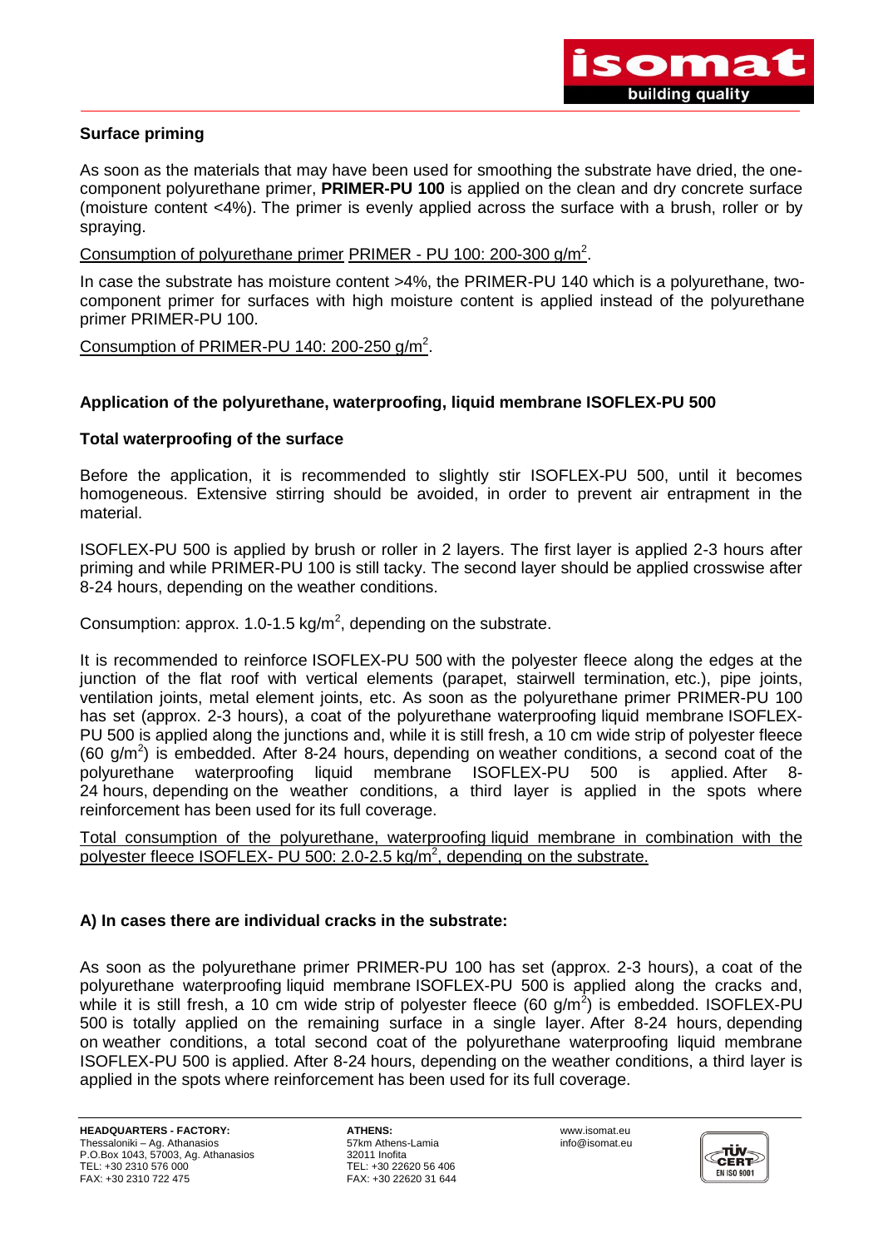

## **Surface priming**

As soon as the materials that may have been used for smoothing the substrate have dried, the onecomponent polyurethane primer, **PRIMER-PU 100** is applied on the clean and dry concrete surface (moisture content <4%). The primer is evenly applied across the surface with a brush, roller or by spraying.

Consumption of polyurethane primer PRIMER - PU 100: 200-300 g/m<sup>2</sup>.

In case the substrate has moisture content >4%, the PRIMER-PU 140 which is a polyurethane, twocomponent primer for surfaces with high moisture content is applied instead of the polyurethane primer PRIMER-PU 100.

Consumption of PRIMER-PU 140: 200-250 g/m<sup>2</sup>.

## **Application of the polyurethane, waterproofing, liquid membrane ISOFLEX-PU 500**

#### **Total waterproofing of the surface**

Before the application, it is recommended to slightly stir ISOFLEX-PU 500, until it becomes homogeneous. Extensive stirring should be avoided, in order to prevent air entrapment in the material.

ISOFLEX-PU 500 is applied by brush or roller in 2 layers. The first layer is applied 2-3 hours after priming and while PRIMER-PU 100 is still tacky. The second layer should be applied crosswise after 8-24 hours, depending on the weather conditions.

Consumption: approx. 1.0-1.5 kg/m<sup>2</sup>, depending on the substrate.

It is recommended to reinforce ISOFLEX-PU 500 with the polyester fleece along the edges at the junction of the flat roof with vertical elements (parapet, stairwell termination, etc.), pipe joints, ventilation joints, metal element joints, etc. As soon as the polyurethane primer PRIMER-PU 100 has set (approx. 2-3 hours), a coat of the polyurethane waterproofing liquid membrane ISOFLEX-PU 500 is applied along the junctions and, while it is still fresh, a 10 cm wide strip of polyester fleece  $(60 \text{ g/m}^2)$  is embedded. After 8-24 hours, depending on weather conditions, a second coat of the polyurethane waterproofing liquid membrane ISOFLEX-PU 500 is applied. After 8- 24 hours, depending on the weather conditions, a third layer is applied in the spots where reinforcement has been used for its full coverage.

Total consumption of the polyurethane, waterproofing liquid membrane in combination with the polyester fleece ISOFLEX- PU 500: 2.0-2.5 kg/m<sup>2</sup>, depending on the substrate.

## **A) In cases there are individual cracks in the substrate:**

As soon as the polyurethane primer PRIMER-PU 100 has set (approx. 2-3 hours), a coat of the polyurethane waterproofing liquid membrane ISOFLEX-PU 500 is applied along the cracks and, while it is still fresh, a 10 cm wide strip of polyester fleece (60 g/m<sup>2</sup>) is embedded. ISOFLEX-PU 500 is totally applied on the remaining surface in a single layer. After 8-24 hours, depending on weather conditions, a total second coat of the polyurethane waterproofing liquid membrane ISOFLEX-PU 500 is applied. After 8-24 hours, depending on the weather conditions, a third layer is applied in the spots where reinforcement has been used for its full coverage.

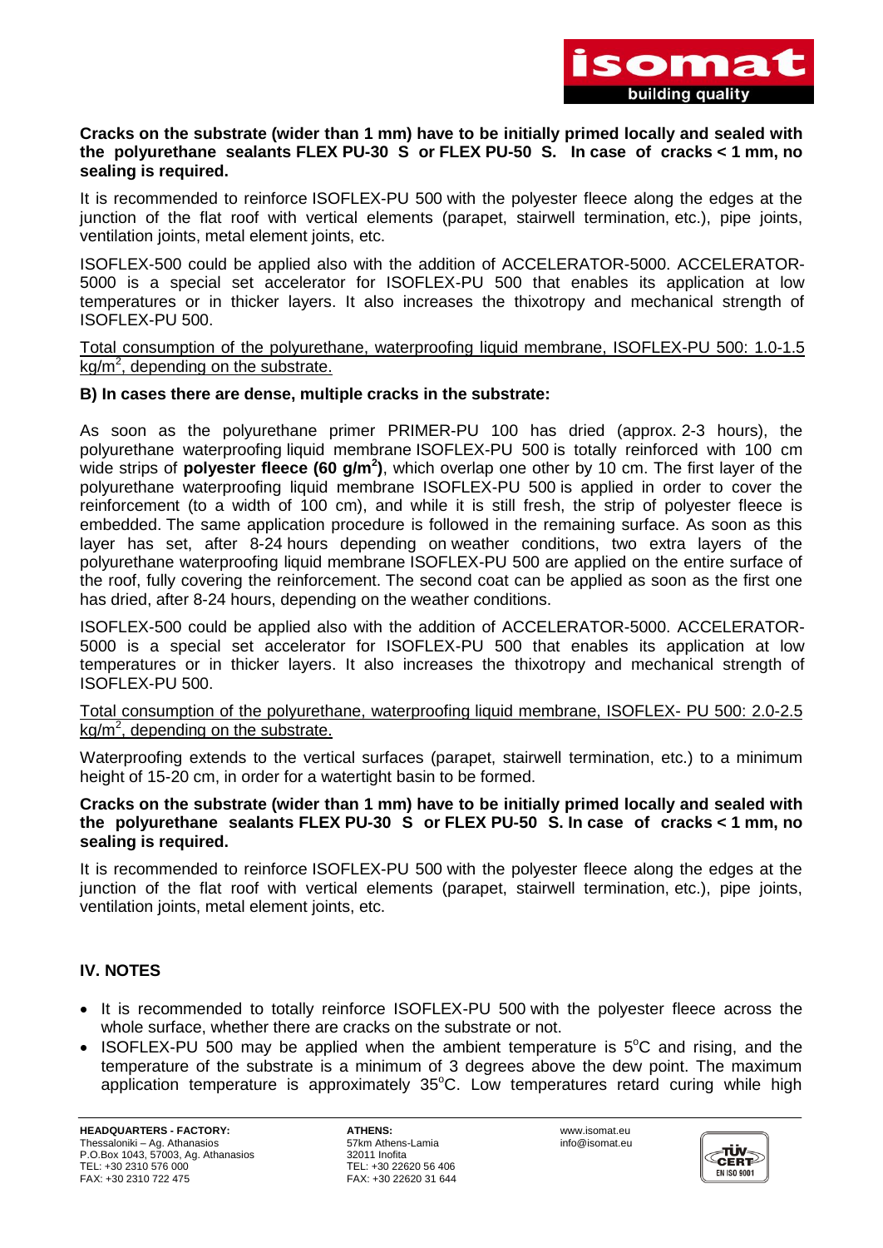

#### **Cracks on the substrate (wider than 1 mm) have to be initially primed locally and sealed with the polyurethane sealants FLEX PU-30 S or FLEX PU-50 S. In case of cracks < 1 mm, no sealing is required.**

It is recommended to reinforce ISOFLEX-PU 500 with the polyester fleece along the edges at the junction of the flat roof with vertical elements (parapet, stairwell termination, etc.), pipe joints, ventilation joints, metal element joints, etc.

ISOFLEX-500 could be applied also with the addition of ACCELERATOR-5000. ACCELERATOR-5000 is a special set accelerator for ISOFLEX-PU 500 that enables its application at low temperatures or in thicker layers. It also increases the thixotropy and mechanical strength of ISOFLEX-PU 500.

Total consumption of the polyurethane, waterproofing liquid membrane, ISOFLEX-PU 500: 1.0-1.5  $kg/m<sup>2</sup>$ , depending on the substrate.

## **B) In cases there are dense, multiple cracks in the substrate:**

As soon as the polyurethane primer PRIMER-PU 100 has dried (approx. 2-3 hours), the polyurethane waterproofing liquid membrane ISOFLEX-PU 500 is totally reinforced with 100 cm wide strips of **polyester fleece (60 g/m<sup>2</sup> )**, which overlap one other by 10 cm. The first layer of the polyurethane waterproofing liquid membrane ISOFLEX-PU 500 is applied in order to cover the reinforcement (to a width of 100 cm), and while it is still fresh, the strip of polyester fleece is embedded. The same application procedure is followed in the remaining surface. As soon as this layer has set, after 8-24 hours depending on weather conditions, two extra layers of the polyurethane waterproofing liquid membrane ISOFLEX-PU 500 are applied on the entire surface of the roof, fully covering the reinforcement. The second coat can be applied as soon as the first one has dried, after 8-24 hours, depending on the weather conditions.

ISOFLEX-500 could be applied also with the addition of ACCELERATOR-5000. ACCELERATOR-5000 is a special set accelerator for ISOFLEX-PU 500 that enables its application at low temperatures or in thicker layers. It also increases the thixotropy and mechanical strength of ISOFLEX-PU 500.

## Total consumption of the polyurethane, waterproofing liquid membrane, ISOFLEX- PU 500: 2.0-2.5  $kg/m<sup>2</sup>$ , depending on the substrate.

Waterproofing extends to the vertical surfaces (parapet, stairwell termination, etc.) to a minimum height of 15-20 cm, in order for a watertight basin to be formed.

### **Cracks on the substrate (wider than 1 mm) have to be initially primed locally and sealed with the polyurethane sealants FLEX PU-30 S or FLEX PU-50 S. In case of cracks < 1 mm, no sealing is required.**

It is recommended to reinforce ISOFLEX-PU 500 with the polyester fleece along the edges at the junction of the flat roof with vertical elements (parapet, stairwell termination, etc.), pipe joints, ventilation joints, metal element joints, etc.

# **IV. NOTES**

- It is recommended to totally reinforce ISOFLEX-PU 500 with the polyester fleece across the whole surface, whether there are cracks on the substrate or not.
- ISOFLEX-PU 500 may be applied when the ambient temperature is  $5^{\circ}$ C and rising, and the temperature of the substrate is a minimum of 3 degrees above the dew point. The maximum application temperature is approximately  $35^{\circ}$ C. Low temperatures retard curing while high